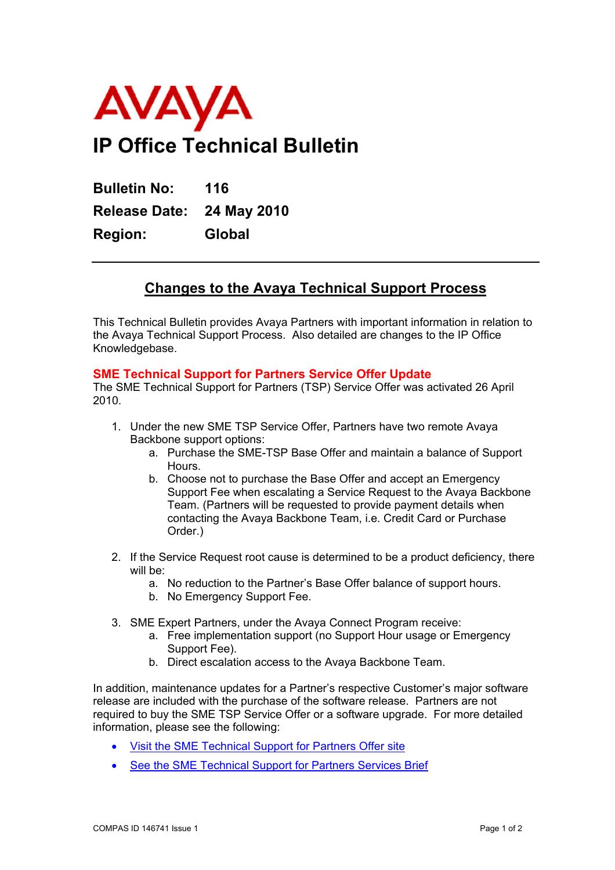

**Bulletin No: 116 Release Date: 24 May 2010 Region: Global** 

## **Changes to the Avaya Technical Support Process**

This Technical Bulletin provides Avaya Partners with important information in relation to the Avaya Technical Support Process. Also detailed are changes to the IP Office Knowledgebase.

## **SME Technical Support for Partners Service Offer Update**

The SME Technical Support for Partners (TSP) Service Offer was activated 26 April 2010.

- 1. Under the new SME TSP Service Offer, Partners have two remote Avaya Backbone support options:
	- a. Purchase the SME-TSP Base Offer and maintain a balance of Support **Hours**
	- b. Choose not to purchase the Base Offer and accept an Emergency Support Fee when escalating a Service Request to the Avaya Backbone Team. (Partners will be requested to provide payment details when contacting the Avaya Backbone Team, i.e. Credit Card or Purchase Order.)
- 2. If the Service Request root cause is determined to be a product deficiency, there will be:
	- a. No reduction to the Partner's Base Offer balance of support hours.
	- b. No Emergency Support Fee.
- 3. SME Expert Partners, under the Avaya Connect Program receive:
	- a. Free implementation support (no Support Hour usage or Emergency Support Fee).
	- b. Direct escalation access to the Avaya Backbone Team.

In addition, maintenance updates for a Partner's respective Customer's major software release are included with the purchase of the software release. Partners are not required to buy the SME TSP Service Offer or a software upgrade. For more detailed information, please see the following:

- [Visit the SME Technical Support for Partners Offer site](http://links.avayanews.com/rts/go2.aspx?h=163697&tp=7.122.8615.4427476)
- [See the SME Technical Support for Partners Services Brief](http://links.avayanews.com/rts/go2.aspx?h=163702&tp=7.122.8615.4427476)